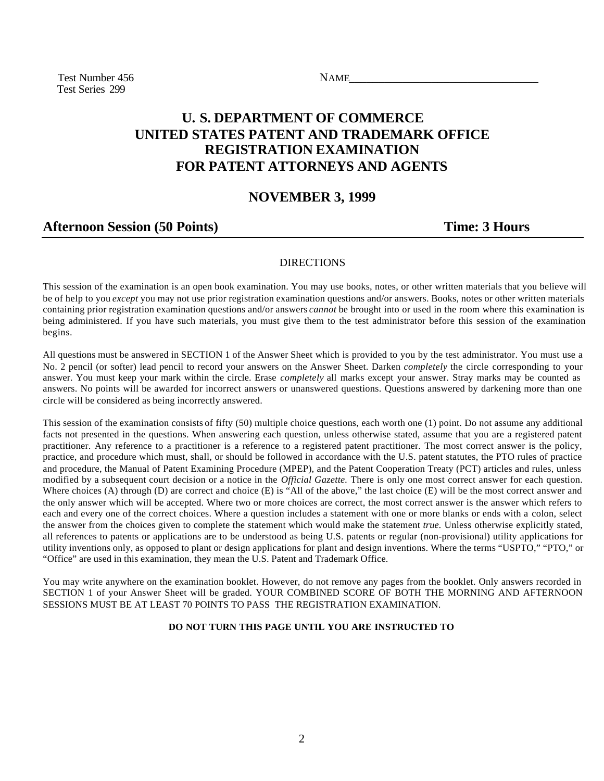Test Number 456 NAME Test Series 299

# **U. S. DEPARTMENT OF COMMERCE UNITED STATES PATENT AND TRADEMARK OFFICE REGISTRATION EXAMINATION FOR PATENT ATTORNEYS AND AGENTS**

### **NOVEMBER 3, 1999**

## Afternoon Session (50 Points) Time: 3 Hours

### DIRECTIONS

This session of the examination is an open book examination. You may use books, notes, or other written materials that you believe will be of help to you *except* you may not use prior registration examination questions and/or answers. Books, notes or other written materials containing prior registration examination questions and/or answers *cannot* be brought into or used in the room where this examination is being administered. If you have such materials, you must give them to the test administrator before this session of the examination begins.

All questions must be answered in SECTION 1 of the Answer Sheet which is provided to you by the test administrator. You must use a No. 2 pencil (or softer) lead pencil to record your answers on the Answer Sheet. Darken *completely* the circle corresponding to your answer. You must keep your mark within the circle. Erase *completely* all marks except your answer. Stray marks may be counted as answers. No points will be awarded for incorrect answers or unanswered questions. Questions answered by darkening more than one circle will be considered as being incorrectly answered.

This session of the examination consists of fifty (50) multiple choice questions, each worth one (1) point. Do not assume any additional facts not presented in the questions. When answering each question, unless otherwise stated, assume that you are a registered patent practitioner. Any reference to a practitioner is a reference to a registered patent practitioner. The most correct answer is the policy, practice, and procedure which must, shall, or should be followed in accordance with the U.S. patent statutes, the PTO rules of practice and procedure, the Manual of Patent Examining Procedure (MPEP), and the Patent Cooperation Treaty (PCT) articles and rules, unless modified by a subsequent court decision or a notice in the *Official Gazette.* There is only one most correct answer for each question. Where choices (A) through (D) are correct and choice (E) is "All of the above," the last choice (E) will be the most correct answer and the only answer which will be accepted. Where two or more choices are correct, the most correct answer is the answer which refers to each and every one of the correct choices. Where a question includes a statement with one or more blanks or ends with a colon, select the answer from the choices given to complete the statement which would make the statement *true.* Unless otherwise explicitly stated, all references to patents or applications are to be understood as being U.S. patents or regular (non-provisional) utility applications for utility inventions only, as opposed to plant or design applications for plant and design inventions. Where the terms "USPTO," "PTO," or "Office" are used in this examination, they mean the U.S. Patent and Trademark Office.

You may write anywhere on the examination booklet. However, do not remove any pages from the booklet. Only answers recorded in SECTION 1 of your Answer Sheet will be graded. YOUR COMBINED SCORE OF BOTH THE MORNING AND AFTERNOON SESSIONS MUST BE AT LEAST 70 POINTS TO PASS THE REGISTRATION EXAMINATION.

#### **DO NOT TURN THIS PAGE UNTIL YOU ARE INSTRUCTED TO**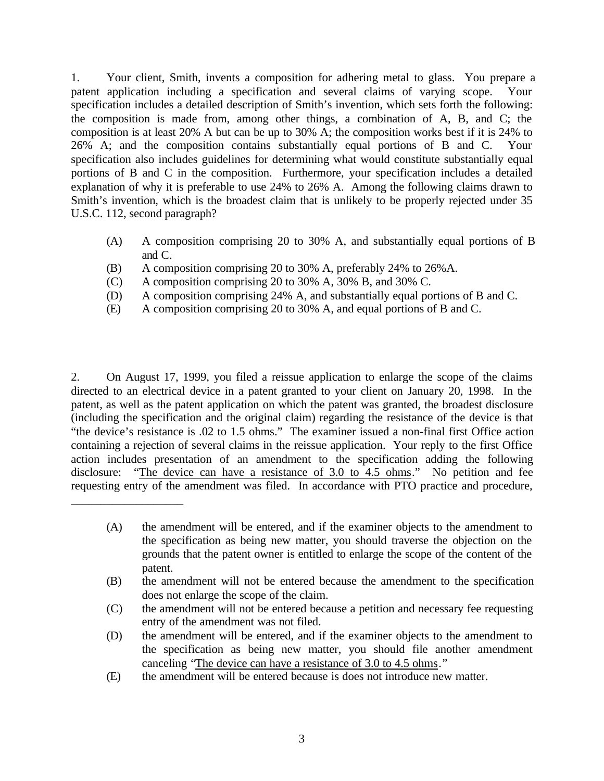1. Your client, Smith, invents a composition for adhering metal to glass. You prepare a patent application including a specification and several claims of varying scope. Your specification includes a detailed description of Smith's invention, which sets forth the following: the composition is made from, among other things, a combination of A, B, and C; the composition is at least 20% A but can be up to 30% A; the composition works best if it is 24% to 26% A; and the composition contains substantially equal portions of B and C. Your specification also includes guidelines for determining what would constitute substantially equal portions of B and C in the composition. Furthermore, your specification includes a detailed explanation of why it is preferable to use 24% to 26% A. Among the following claims drawn to Smith's invention, which is the broadest claim that is unlikely to be properly rejected under 35 U.S.C. 112, second paragraph?

- (A) A composition comprising 20 to 30% A, and substantially equal portions of B and C.
- (B) A composition comprising 20 to 30% A, preferably 24% to 26%A.
- (C) A composition comprising 20 to 30% A, 30% B, and 30% C.

\_\_\_\_\_\_\_\_\_\_\_\_\_\_\_\_\_\_\_

- (D) A composition comprising 24% A, and substantially equal portions of B and C.
- (E) A composition comprising 20 to 30% A, and equal portions of B and C.

2. On August 17, 1999, you filed a reissue application to enlarge the scope of the claims directed to an electrical device in a patent granted to your client on January 20, 1998. In the patent, as well as the patent application on which the patent was granted, the broadest disclosure (including the specification and the original claim) regarding the resistance of the device is that "the device's resistance is .02 to 1.5 ohms." The examiner issued a non-final first Office action containing a rejection of several claims in the reissue application. Your reply to the first Office action includes presentation of an amendment to the specification adding the following disclosure: "The device can have a resistance of 3.0 to 4.5 ohms." No petition and fee requesting entry of the amendment was filed. In accordance with PTO practice and procedure,

- (C) the amendment will not be entered because a petition and necessary fee requesting entry of the amendment was not filed.
- (D) the amendment will be entered, and if the examiner objects to the amendment to the specification as being new matter, you should file another amendment canceling "The device can have a resistance of 3.0 to 4.5 ohms."
- (E) the amendment will be entered because is does not introduce new matter.

<sup>(</sup>A) the amendment will be entered, and if the examiner objects to the amendment to the specification as being new matter, you should traverse the objection on the grounds that the patent owner is entitled to enlarge the scope of the content of the patent.

<sup>(</sup>B) the amendment will not be entered because the amendment to the specification does not enlarge the scope of the claim.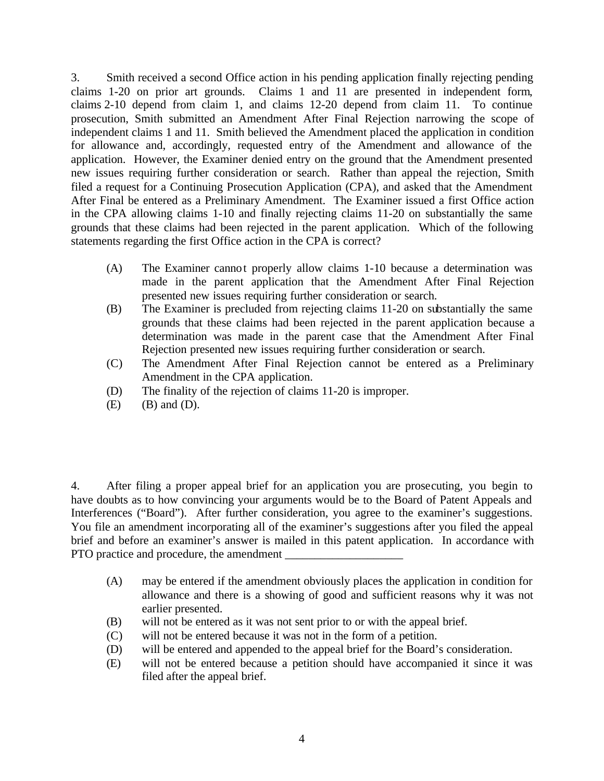3. Smith received a second Office action in his pending application finally rejecting pending claims 1-20 on prior art grounds. Claims 1 and 11 are presented in independent form, claims 2-10 depend from claim 1, and claims 12-20 depend from claim 11. To continue prosecution, Smith submitted an Amendment After Final Rejection narrowing the scope of independent claims 1 and 11. Smith believed the Amendment placed the application in condition for allowance and, accordingly, requested entry of the Amendment and allowance of the application. However, the Examiner denied entry on the ground that the Amendment presented new issues requiring further consideration or search. Rather than appeal the rejection, Smith filed a request for a Continuing Prosecution Application (CPA), and asked that the Amendment After Final be entered as a Preliminary Amendment. The Examiner issued a first Office action in the CPA allowing claims 1-10 and finally rejecting claims 11-20 on substantially the same grounds that these claims had been rejected in the parent application. Which of the following statements regarding the first Office action in the CPA is correct?

- (A) The Examiner cannot properly allow claims 1-10 because a determination was made in the parent application that the Amendment After Final Rejection presented new issues requiring further consideration or search.
- (B) The Examiner is precluded from rejecting claims 11-20 on substantially the same grounds that these claims had been rejected in the parent application because a determination was made in the parent case that the Amendment After Final Rejection presented new issues requiring further consideration or search.
- (C) The Amendment After Final Rejection cannot be entered as a Preliminary Amendment in the CPA application.
- (D) The finality of the rejection of claims 11-20 is improper.
- $(E)$   $(B)$  and  $(D)$ .

4. After filing a proper appeal brief for an application you are prosecuting, you begin to have doubts as to how convincing your arguments would be to the Board of Patent Appeals and Interferences ("Board"). After further consideration, you agree to the examiner's suggestions. You file an amendment incorporating all of the examiner's suggestions after you filed the appeal brief and before an examiner's answer is mailed in this patent application. In accordance with PTO practice and procedure, the amendment

- (A) may be entered if the amendment obviously places the application in condition for allowance and there is a showing of good and sufficient reasons why it was not earlier presented.
- (B) will not be entered as it was not sent prior to or with the appeal brief.
- (C) will not be entered because it was not in the form of a petition.
- (D) will be entered and appended to the appeal brief for the Board's consideration.
- (E) will not be entered because a petition should have accompanied it since it was filed after the appeal brief.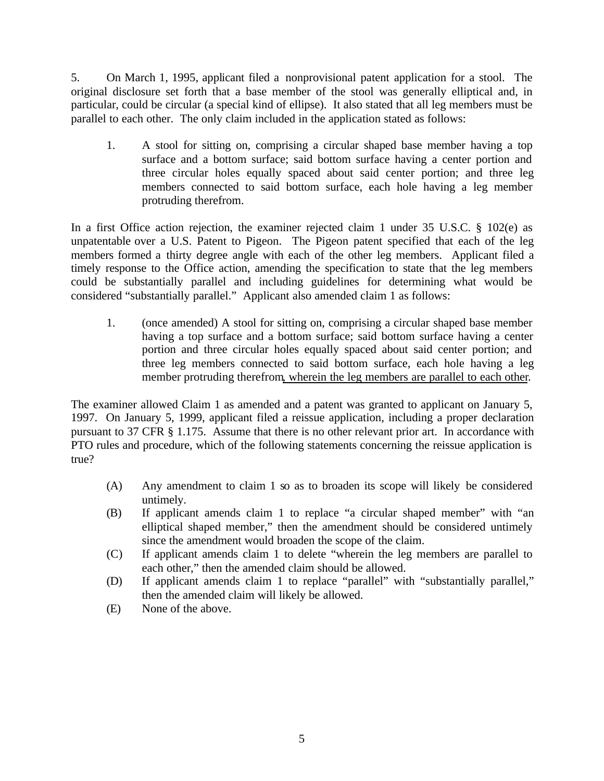5. On March 1, 1995, applicant filed a nonprovisional patent application for a stool. The original disclosure set forth that a base member of the stool was generally elliptical and, in particular, could be circular (a special kind of ellipse). It also stated that all leg members must be parallel to each other. The only claim included in the application stated as follows:

1. A stool for sitting on, comprising a circular shaped base member having a top surface and a bottom surface; said bottom surface having a center portion and three circular holes equally spaced about said center portion; and three leg members connected to said bottom surface, each hole having a leg member protruding therefrom.

In a first Office action rejection, the examiner rejected claim 1 under 35 U.S.C. § 102(e) as unpatentable over a U.S. Patent to Pigeon. The Pigeon patent specified that each of the leg members formed a thirty degree angle with each of the other leg members. Applicant filed a timely response to the Office action, amending the specification to state that the leg members could be substantially parallel and including guidelines for determining what would be considered "substantially parallel." Applicant also amended claim 1 as follows:

1. (once amended) A stool for sitting on, comprising a circular shaped base member having a top surface and a bottom surface; said bottom surface having a center portion and three circular holes equally spaced about said center portion; and three leg members connected to said bottom surface, each hole having a leg member protruding therefrom, wherein the leg members are parallel to each other.

The examiner allowed Claim 1 as amended and a patent was granted to applicant on January 5, 1997. On January 5, 1999, applicant filed a reissue application, including a proper declaration pursuant to 37 CFR § 1.175. Assume that there is no other relevant prior art. In accordance with PTO rules and procedure, which of the following statements concerning the reissue application is true?

- (A) Any amendment to claim 1 so as to broaden its scope will likely be considered untimely.
- (B) If applicant amends claim 1 to replace "a circular shaped member" with "an elliptical shaped member," then the amendment should be considered untimely since the amendment would broaden the scope of the claim.
- (C) If applicant amends claim 1 to delete "wherein the leg members are parallel to each other," then the amended claim should be allowed.
- (D) If applicant amends claim 1 to replace "parallel" with "substantially parallel," then the amended claim will likely be allowed.
- (E) None of the above.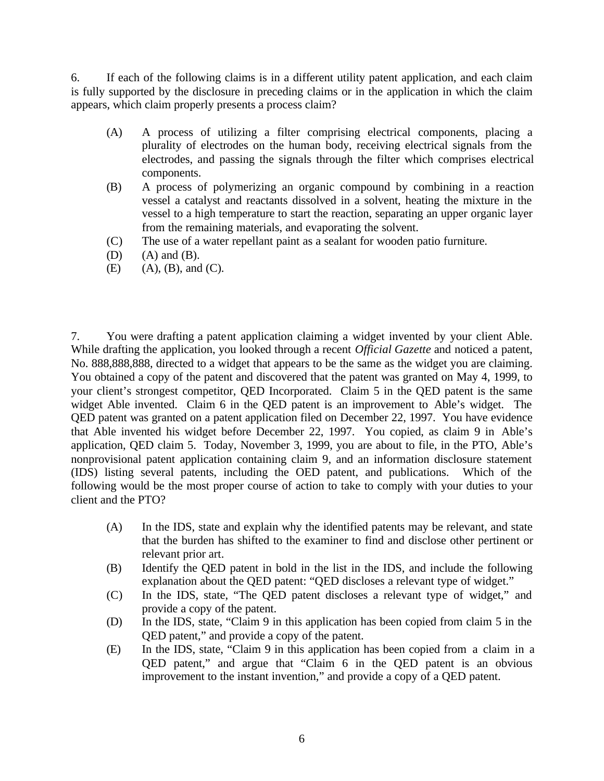6. If each of the following claims is in a different utility patent application, and each claim is fully supported by the disclosure in preceding claims or in the application in which the claim appears, which claim properly presents a process claim?

- (A) A process of utilizing a filter comprising electrical components, placing a plurality of electrodes on the human body, receiving electrical signals from the electrodes, and passing the signals through the filter which comprises electrical components.
- (B) A process of polymerizing an organic compound by combining in a reaction vessel a catalyst and reactants dissolved in a solvent, heating the mixture in the vessel to a high temperature to start the reaction, separating an upper organic layer from the remaining materials, and evaporating the solvent.
- (C) The use of a water repellant paint as a sealant for wooden patio furniture.
- $(D)$   $(A)$  and  $(B)$ .
- $(E)$  (A),  $(B)$ , and  $(C)$ .

7. You were drafting a patent application claiming a widget invented by your client Able. While drafting the application, you looked through a recent *Official Gazette* and noticed a patent, No. 888,888,888, directed to a widget that appears to be the same as the widget you are claiming. You obtained a copy of the patent and discovered that the patent was granted on May 4, 1999, to your client's strongest competitor, QED Incorporated. Claim 5 in the QED patent is the same widget Able invented. Claim 6 in the QED patent is an improvement to Able's widget. The QED patent was granted on a patent application filed on December 22, 1997. You have evidence that Able invented his widget before December 22, 1997. You copied, as claim 9 in Able's application, QED claim 5. Today, November 3, 1999, you are about to file, in the PTO, Able's nonprovisional patent application containing claim 9, and an information disclosure statement (IDS) listing several patents, including the OED patent, and publications. Which of the following would be the most proper course of action to take to comply with your duties to your client and the PTO?

- (A) In the IDS, state and explain why the identified patents may be relevant, and state that the burden has shifted to the examiner to find and disclose other pertinent or relevant prior art.
- (B) Identify the QED patent in bold in the list in the IDS, and include the following explanation about the QED patent: "QED discloses a relevant type of widget."
- (C) In the IDS, state, "The QED patent discloses a relevant type of widget," and provide a copy of the patent.
- (D) In the IDS, state, "Claim 9 in this application has been copied from claim 5 in the QED patent," and provide a copy of the patent.
- (E) In the IDS, state, "Claim 9 in this application has been copied from a claim in a QED patent," and argue that "Claim 6 in the QED patent is an obvious improvement to the instant invention," and provide a copy of a QED patent.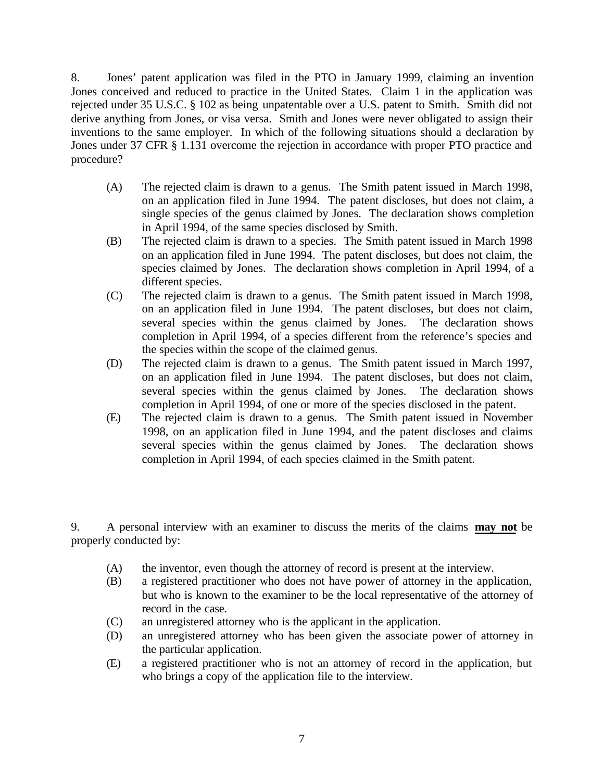8. Jones' patent application was filed in the PTO in January 1999, claiming an invention Jones conceived and reduced to practice in the United States. Claim 1 in the application was rejected under 35 U.S.C. § 102 as being unpatentable over a U.S. patent to Smith. Smith did not derive anything from Jones, or visa versa. Smith and Jones were never obligated to assign their inventions to the same employer. In which of the following situations should a declaration by Jones under 37 CFR § 1.131 overcome the rejection in accordance with proper PTO practice and procedure?

- (A) The rejected claim is drawn to a genus. The Smith patent issued in March 1998, on an application filed in June 1994. The patent discloses, but does not claim, a single species of the genus claimed by Jones. The declaration shows completion in April 1994, of the same species disclosed by Smith.
- (B) The rejected claim is drawn to a species. The Smith patent issued in March 1998 on an application filed in June 1994. The patent discloses, but does not claim, the species claimed by Jones. The declaration shows completion in April 1994, of a different species.
- (C) The rejected claim is drawn to a genus. The Smith patent issued in March 1998, on an application filed in June 1994. The patent discloses, but does not claim, several species within the genus claimed by Jones. The declaration shows completion in April 1994, of a species different from the reference's species and the species within the scope of the claimed genus.
- (D) The rejected claim is drawn to a genus. The Smith patent issued in March 1997, on an application filed in June 1994. The patent discloses, but does not claim, several species within the genus claimed by Jones. The declaration shows completion in April 1994, of one or more of the species disclosed in the patent.
- (E) The rejected claim is drawn to a genus. The Smith patent issued in November 1998, on an application filed in June 1994, and the patent discloses and claims several species within the genus claimed by Jones. The declaration shows completion in April 1994, of each species claimed in the Smith patent.

9. A personal interview with an examiner to discuss the merits of the claims **may not** be properly conducted by:

- (A) the inventor, even though the attorney of record is present at the interview.
- (B) a registered practitioner who does not have power of attorney in the application, but who is known to the examiner to be the local representative of the attorney of record in the case.
- (C) an unregistered attorney who is the applicant in the application.
- (D) an unregistered attorney who has been given the associate power of attorney in the particular application.
- (E) a registered practitioner who is not an attorney of record in the application, but who brings a copy of the application file to the interview.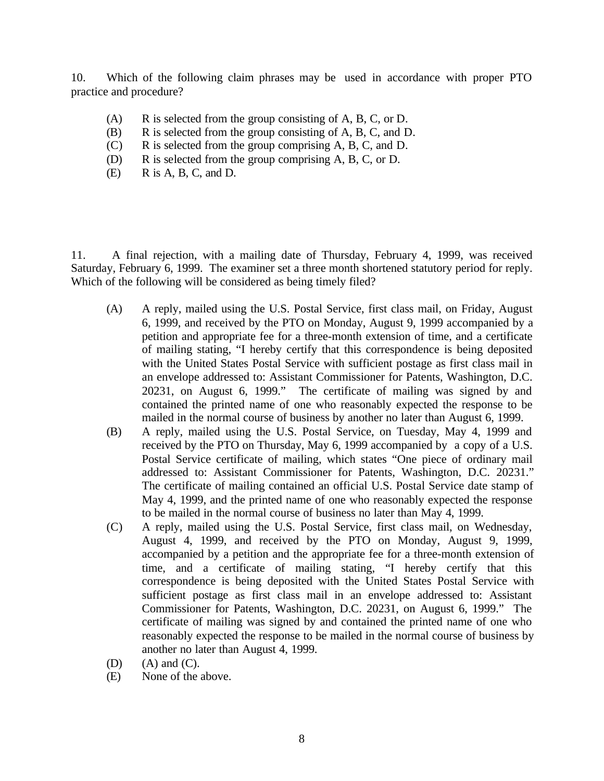10. Which of the following claim phrases may be used in accordance with proper PTO practice and procedure?

- (A) R is selected from the group consisting of A, B, C, or D.
- (B) R is selected from the group consisting of A, B, C, and D.
- (C) R is selected from the group comprising A, B, C, and D.
- (D) R is selected from the group comprising A, B, C, or D.
- $(E)$  R is A, B, C, and D.

11. A final rejection, with a mailing date of Thursday, February 4, 1999, was received Saturday, February 6, 1999. The examiner set a three month shortened statutory period for reply. Which of the following will be considered as being timely filed?

- (A) A reply, mailed using the U.S. Postal Service, first class mail, on Friday, August 6, 1999, and received by the PTO on Monday, August 9, 1999 accompanied by a petition and appropriate fee for a three-month extension of time, and a certificate of mailing stating, "I hereby certify that this correspondence is being deposited with the United States Postal Service with sufficient postage as first class mail in an envelope addressed to: Assistant Commissioner for Patents, Washington, D.C. 20231, on August 6, 1999." The certificate of mailing was signed by and contained the printed name of one who reasonably expected the response to be mailed in the normal course of business by another no later than August 6, 1999.
- (B) A reply, mailed using the U.S. Postal Service, on Tuesday, May 4, 1999 and received by the PTO on Thursday, May 6, 1999 accompanied by a copy of a U.S. Postal Service certificate of mailing, which states "One piece of ordinary mail addressed to: Assistant Commissioner for Patents, Washington, D.C. 20231." The certificate of mailing contained an official U.S. Postal Service date stamp of May 4, 1999, and the printed name of one who reasonably expected the response to be mailed in the normal course of business no later than May 4, 1999.
- (C) A reply, mailed using the U.S. Postal Service, first class mail, on Wednesday, August 4, 1999, and received by the PTO on Monday, August 9, 1999, accompanied by a petition and the appropriate fee for a three-month extension of time, and a certificate of mailing stating, "I hereby certify that this correspondence is being deposited with the United States Postal Service with sufficient postage as first class mail in an envelope addressed to: Assistant Commissioner for Patents, Washington, D.C. 20231, on August 6, 1999." The certificate of mailing was signed by and contained the printed name of one who reasonably expected the response to be mailed in the normal course of business by another no later than August 4, 1999.
- $(D)$   $(A)$  and  $(C)$ .
- (E) None of the above.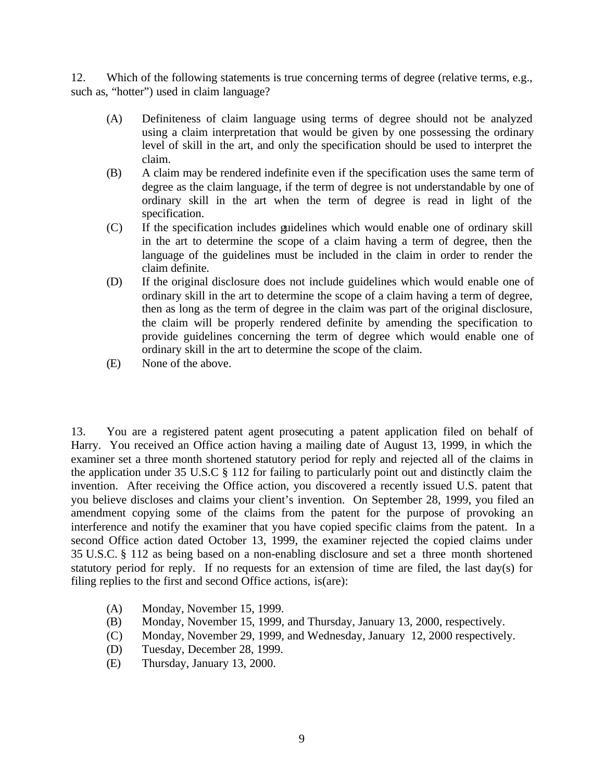12. Which of the following statements is true concerning terms of degree (relative terms, e.g., such as, "hotter") used in claim language?

- (A) Definiteness of claim language using terms of degree should not be analyzed using a claim interpretation that would be given by one possessing the ordinary level of skill in the art, and only the specification should be used to interpret the claim.
- (B) A claim may be rendered indefinite even if the specification uses the same term of degree as the claim language, if the term of degree is not understandable by one of ordinary skill in the art when the term of degree is read in light of the specification.
- (C) If the specification includes guidelines which would enable one of ordinary skill in the art to determine the scope of a claim having a term of degree, then the language of the guidelines must be included in the claim in order to render the claim definite.
- (D) If the original disclosure does not include guidelines which would enable one of ordinary skill in the art to determine the scope of a claim having a term of degree, then as long as the term of degree in the claim was part of the original disclosure, the claim will be properly rendered definite by amending the specification to provide guidelines concerning the term of degree which would enable one of ordinary skill in the art to determine the scope of the claim.
- (E) None of the above.

13. You are a registered patent agent prosecuting a patent application filed on behalf of Harry. You received an Office action having a mailing date of August 13, 1999, in which the examiner set a three month shortened statutory period for reply and rejected all of the claims in the application under 35 U.S.C § 112 for failing to particularly point out and distinctly claim the invention. After receiving the Office action, you discovered a recently issued U.S. patent that you believe discloses and claims your client's invention. On September 28, 1999, you filed an amendment copying some of the claims from the patent for the purpose of provoking an interference and notify the examiner that you have copied specific claims from the patent. In a second Office action dated October 13, 1999, the examiner rejected the copied claims under 35 U.S.C. § 112 as being based on a non-enabling disclosure and set a three month shortened statutory period for reply. If no requests for an extension of time are filed, the last day(s) for filing replies to the first and second Office actions, is(are):

- (A) Monday, November 15, 1999.
- (B) Monday, November 15, 1999, and Thursday, January 13, 2000, respectively.
- (C) Monday, November 29, 1999, and Wednesday, January 12, 2000 respectively.
- (D) Tuesday, December 28, 1999.
- (E) Thursday, January 13, 2000.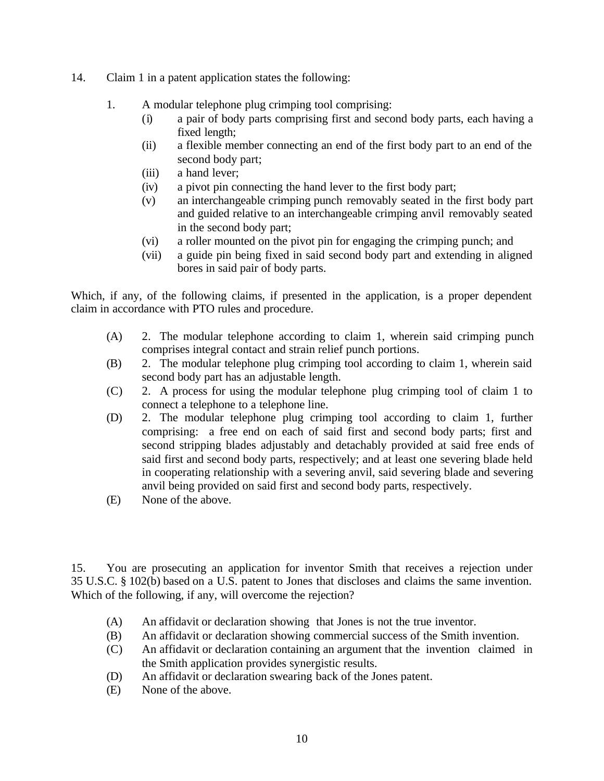- 14. Claim 1 in a patent application states the following:
	- 1. A modular telephone plug crimping tool comprising:
		- (i) a pair of body parts comprising first and second body parts, each having a fixed length;
		- (ii) a flexible member connecting an end of the first body part to an end of the second body part;
		- (iii) a hand lever;
		- (iv) a pivot pin connecting the hand lever to the first body part;
		- (v) an interchangeable crimping punch removably seated in the first body part and guided relative to an interchangeable crimping anvil removably seated in the second body part;
		- (vi) a roller mounted on the pivot pin for engaging the crimping punch; and
		- (vii) a guide pin being fixed in said second body part and extending in aligned bores in said pair of body parts.

Which, if any, of the following claims, if presented in the application, is a proper dependent claim in accordance with PTO rules and procedure.

- (A) 2. The modular telephone according to claim 1, wherein said crimping punch comprises integral contact and strain relief punch portions.
- (B) 2. The modular telephone plug crimping tool according to claim 1, wherein said second body part has an adjustable length.
- (C) 2. A process for using the modular telephone plug crimping tool of claim 1 to connect a telephone to a telephone line.
- (D) 2. The modular telephone plug crimping tool according to claim 1, further comprising: a free end on each of said first and second body parts; first and second stripping blades adjustably and detachably provided at said free ends of said first and second body parts, respectively; and at least one severing blade held in cooperating relationship with a severing anvil, said severing blade and severing anvil being provided on said first and second body parts, respectively.
- (E) None of the above.

15. You are prosecuting an application for inventor Smith that receives a rejection under 35 U.S.C. § 102(b) based on a U.S. patent to Jones that discloses and claims the same invention. Which of the following, if any, will overcome the rejection?

- (A) An affidavit or declaration showing that Jones is not the true inventor.
- (B) An affidavit or declaration showing commercial success of the Smith invention.
- (C) An affidavit or declaration containing an argument that the invention claimed in the Smith application provides synergistic results.
- (D) An affidavit or declaration swearing back of the Jones patent.
- (E) None of the above.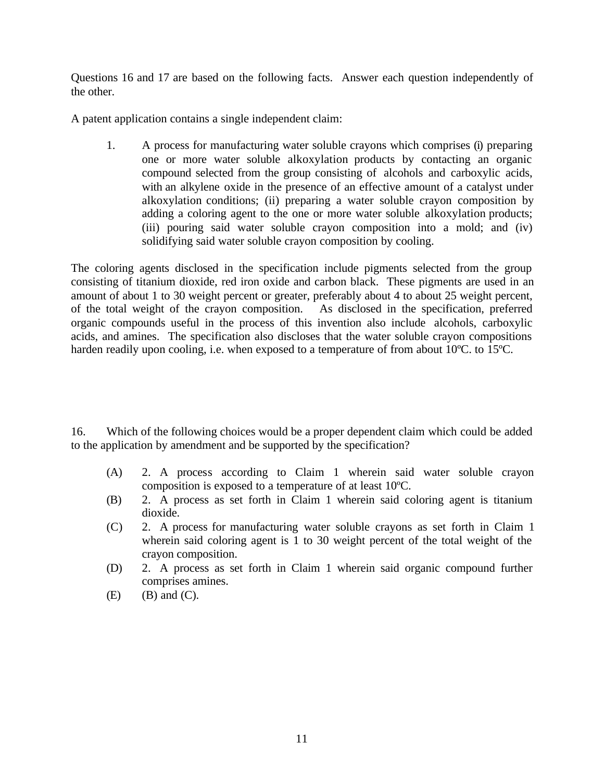Questions 16 and 17 are based on the following facts. Answer each question independently of the other.

A patent application contains a single independent claim:

1. A process for manufacturing water soluble crayons which comprises (i) preparing one or more water soluble alkoxylation products by contacting an organic compound selected from the group consisting of alcohols and carboxylic acids, with an alkylene oxide in the presence of an effective amount of a catalyst under alkoxylation conditions; (ii) preparing a water soluble crayon composition by adding a coloring agent to the one or more water soluble alkoxylation products; (iii) pouring said water soluble crayon composition into a mold; and (iv) solidifying said water soluble crayon composition by cooling.

The coloring agents disclosed in the specification include pigments selected from the group consisting of titanium dioxide, red iron oxide and carbon black. These pigments are used in an amount of about 1 to 30 weight percent or greater, preferably about 4 to about 25 weight percent, of the total weight of the crayon composition. As disclosed in the specification, preferred organic compounds useful in the process of this invention also include alcohols, carboxylic acids, and amines. The specification also discloses that the water soluble crayon compositions harden readily upon cooling, i.e. when exposed to a temperature of from about 10°C. to 15°C.

16. Which of the following choices would be a proper dependent claim which could be added to the application by amendment and be supported by the specification?

- (A) 2. A process according to Claim 1 wherein said water soluble crayon composition is exposed to a temperature of at least 10ºC.
- (B) 2. A process as set forth in Claim 1 wherein said coloring agent is titanium dioxide.
- (C) 2. A process for manufacturing water soluble crayons as set forth in Claim 1 wherein said coloring agent is 1 to 30 weight percent of the total weight of the crayon composition.
- (D) 2. A process as set forth in Claim 1 wherein said organic compound further comprises amines.
- $(E)$  (B) and  $(C)$ .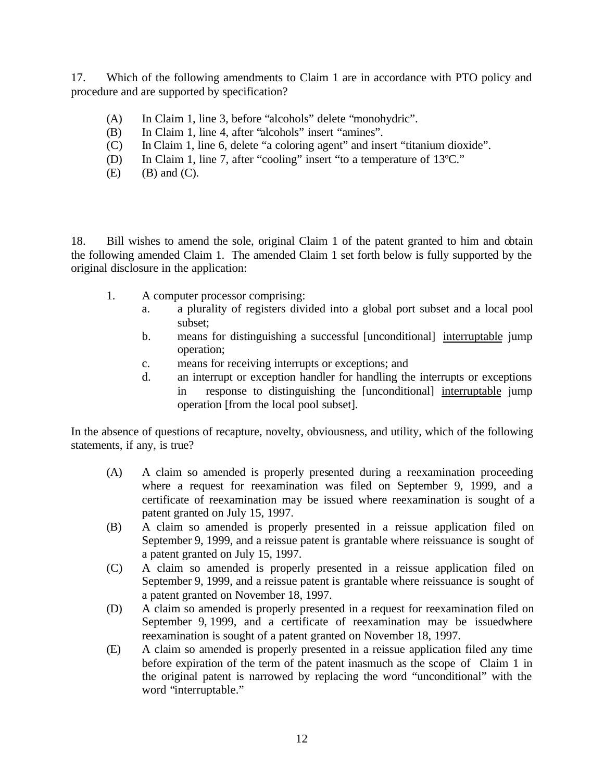17. Which of the following amendments to Claim 1 are in accordance with PTO policy and procedure and are supported by specification?

- (A) In Claim 1, line 3, before "alcohols" delete "monohydric".
- (B) In Claim 1, line 4, after "alcohols" insert "amines".
- (C) In Claim 1, line 6, delete "a coloring agent" and insert "titanium dioxide".
- (D) In Claim 1, line 7, after "cooling" insert "to a temperature of 13ºC."
- $(E)$  (B) and  $(C)$ .

18. Bill wishes to amend the sole, original Claim 1 of the patent granted to him and obtain the following amended Claim 1. The amended Claim 1 set forth below is fully supported by the original disclosure in the application:

- 1. A computer processor comprising:
	- a. a plurality of registers divided into a global port subset and a local pool subset;
	- b. means for distinguishing a successful [unconditional] interruptable jump operation;
	- c. means for receiving interrupts or exceptions; and
	- d. an interrupt or exception handler for handling the interrupts or exceptions in response to distinguishing the [unconditional] interruptable jump operation [from the local pool subset].

In the absence of questions of recapture, novelty, obviousness, and utility, which of the following statements, if any, is true?

- (A) A claim so amended is properly presented during a reexamination proceeding where a request for reexamination was filed on September 9, 1999, and a certificate of reexamination may be issued where reexamination is sought of a patent granted on July 15, 1997.
- (B) A claim so amended is properly presented in a reissue application filed on September 9, 1999, and a reissue patent is grantable where reissuance is sought of a patent granted on July 15, 1997.
- (C) A claim so amended is properly presented in a reissue application filed on September 9, 1999, and a reissue patent is grantable where reissuance is sought of a patent granted on November 18, 1997.
- (D) A claim so amended is properly presented in a request for reexamination filed on September 9, 1999, and a certificate of reexamination may be issuedwhere reexamination is sought of a patent granted on November 18, 1997.
- (E) A claim so amended is properly presented in a reissue application filed any time before expiration of the term of the patent inasmuch as the scope of Claim 1 in the original patent is narrowed by replacing the word "unconditional" with the word "interruptable."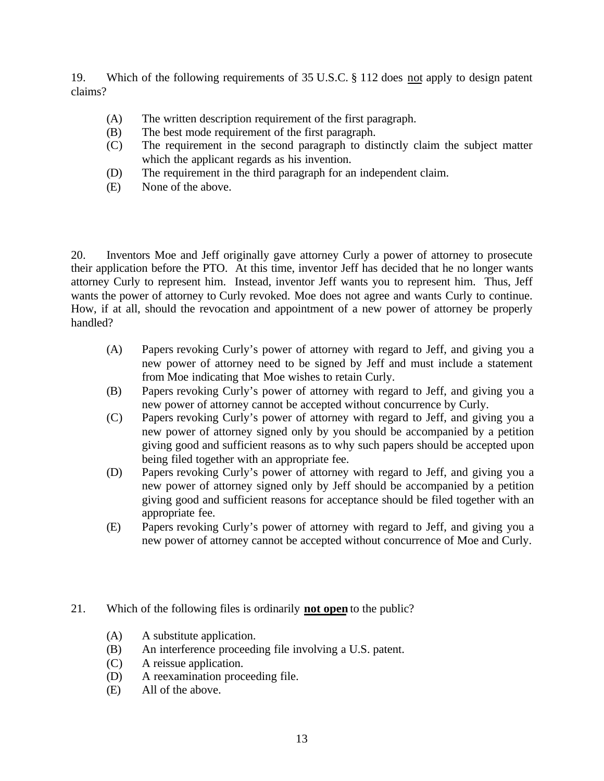19. Which of the following requirements of 35 U.S.C. § 112 does not apply to design patent claims?

- (A) The written description requirement of the first paragraph.
- (B) The best mode requirement of the first paragraph.
- (C) The requirement in the second paragraph to distinctly claim the subject matter which the applicant regards as his invention.
- (D) The requirement in the third paragraph for an independent claim.
- (E) None of the above.

20. Inventors Moe and Jeff originally gave attorney Curly a power of attorney to prosecute their application before the PTO. At this time, inventor Jeff has decided that he no longer wants attorney Curly to represent him. Instead, inventor Jeff wants you to represent him. Thus, Jeff wants the power of attorney to Curly revoked. Moe does not agree and wants Curly to continue. How, if at all, should the revocation and appointment of a new power of attorney be properly handled?

- (A) Papers revoking Curly's power of attorney with regard to Jeff, and giving you a new power of attorney need to be signed by Jeff and must include a statement from Moe indicating that Moe wishes to retain Curly.
- (B) Papers revoking Curly's power of attorney with regard to Jeff, and giving you a new power of attorney cannot be accepted without concurrence by Curly.
- (C) Papers revoking Curly's power of attorney with regard to Jeff, and giving you a new power of attorney signed only by you should be accompanied by a petition giving good and sufficient reasons as to why such papers should be accepted upon being filed together with an appropriate fee.
- (D) Papers revoking Curly's power of attorney with regard to Jeff, and giving you a new power of attorney signed only by Jeff should be accompanied by a petition giving good and sufficient reasons for acceptance should be filed together with an appropriate fee.
- (E) Papers revoking Curly's power of attorney with regard to Jeff, and giving you a new power of attorney cannot be accepted without concurrence of Moe and Curly.
- 21. Which of the following files is ordinarily **not open** to the public?
	- (A) A substitute application.
	- (B) An interference proceeding file involving a U.S. patent.
	- (C) A reissue application.
	- (D) A reexamination proceeding file.
	- (E) All of the above.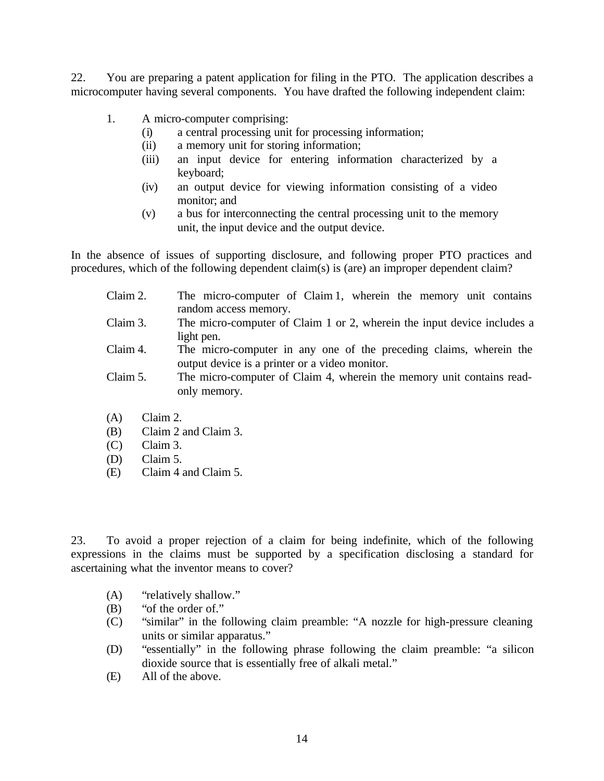22. You are preparing a patent application for filing in the PTO. The application describes a microcomputer having several components. You have drafted the following independent claim:

- 1. A micro-computer comprising:
	- (i) a central processing unit for processing information;
	- (ii) a memory unit for storing information;
	- (iii) an input device for entering information characterized by a keyboard;
	- (iv) an output device for viewing information consisting of a video monitor; and
	- (v) a bus for interconnecting the central processing unit to the memory unit, the input device and the output device.

In the absence of issues of supporting disclosure, and following proper PTO practices and procedures, which of the following dependent claim(s) is (are) an improper dependent claim?

| Claim 2. | The micro-computer of Claim 1, wherein the memory unit contains                                                      |
|----------|----------------------------------------------------------------------------------------------------------------------|
|          | random access memory.                                                                                                |
| Claim 3. | The micro-computer of Claim 1 or 2, wherein the input device includes a<br>light pen.                                |
| Claim 4. | The micro-computer in any one of the preceding claims, wherein the<br>output device is a printer or a video monitor. |
| Claim 5. | The micro-computer of Claim 4, wherein the memory unit contains read-<br>only memory.                                |

- (A) Claim 2.
- (B) Claim 2 and Claim 3.
- (C) Claim 3.
- (D) Claim 5.
- (E) Claim 4 and Claim 5.

23. To avoid a proper rejection of a claim for being indefinite, which of the following expressions in the claims must be supported by a specification disclosing a standard for ascertaining what the inventor means to cover?

- (A) "relatively shallow."
- (B) "of the order of."
- (C) "similar" in the following claim preamble: "A nozzle for high-pressure cleaning units or similar apparatus."
- (D) "essentially" in the following phrase following the claim preamble: "a silicon dioxide source that is essentially free of alkali metal."
- (E) All of the above.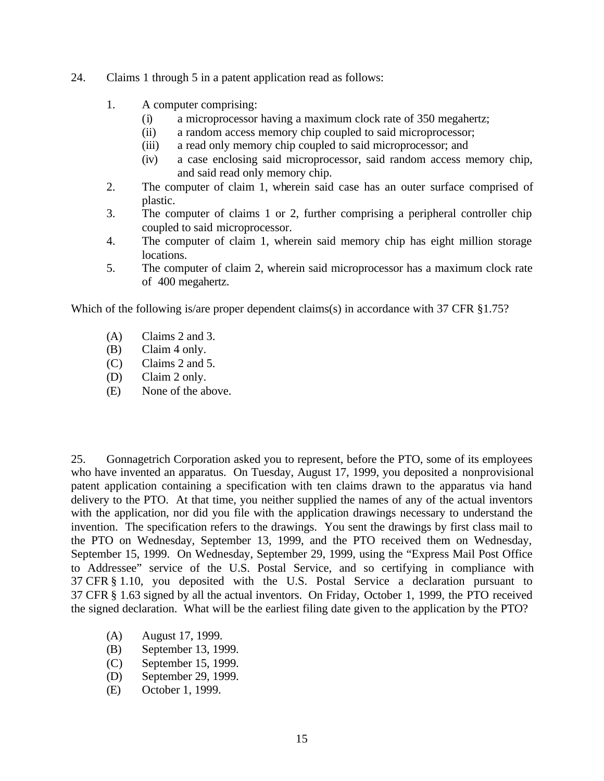- 24. Claims 1 through 5 in a patent application read as follows:
	- 1. A computer comprising:
		- (i) a microprocessor having a maximum clock rate of 350 megahertz;
		- (ii) a random access memory chip coupled to said microprocessor;
		- (iii) a read only memory chip coupled to said microprocessor; and
		- (iv) a case enclosing said microprocessor, said random access memory chip, and said read only memory chip.
	- 2. The computer of claim 1, wherein said case has an outer surface comprised of plastic.
	- 3. The computer of claims 1 or 2, further comprising a peripheral controller chip coupled to said microprocessor.
	- 4. The computer of claim 1, wherein said memory chip has eight million storage locations.
	- 5. The computer of claim 2, wherein said microprocessor has a maximum clock rate of 400 megahertz.

Which of the following is/are proper dependent claims(s) in accordance with 37 CFR §1.75?

- (A) Claims 2 and 3.
- (B) Claim 4 only.
- (C) Claims 2 and 5.
- (D) Claim 2 only.
- (E) None of the above.

25. Gonnagetrich Corporation asked you to represent, before the PTO, some of its employees who have invented an apparatus. On Tuesday, August 17, 1999, you deposited a nonprovisional patent application containing a specification with ten claims drawn to the apparatus via hand delivery to the PTO. At that time, you neither supplied the names of any of the actual inventors with the application, nor did you file with the application drawings necessary to understand the invention. The specification refers to the drawings. You sent the drawings by first class mail to the PTO on Wednesday, September 13, 1999, and the PTO received them on Wednesday, September 15, 1999. On Wednesday, September 29, 1999, using the "Express Mail Post Office to Addressee" service of the U.S. Postal Service, and so certifying in compliance with 37 CFR § 1.10, you deposited with the U.S. Postal Service a declaration pursuant to 37 CFR § 1.63 signed by all the actual inventors. On Friday, October 1, 1999, the PTO received the signed declaration. What will be the earliest filing date given to the application by the PTO?

- (A) August 17, 1999.
- (B) September 13, 1999.
- (C) September 15, 1999.
- (D) September 29, 1999.
- (E) October 1, 1999.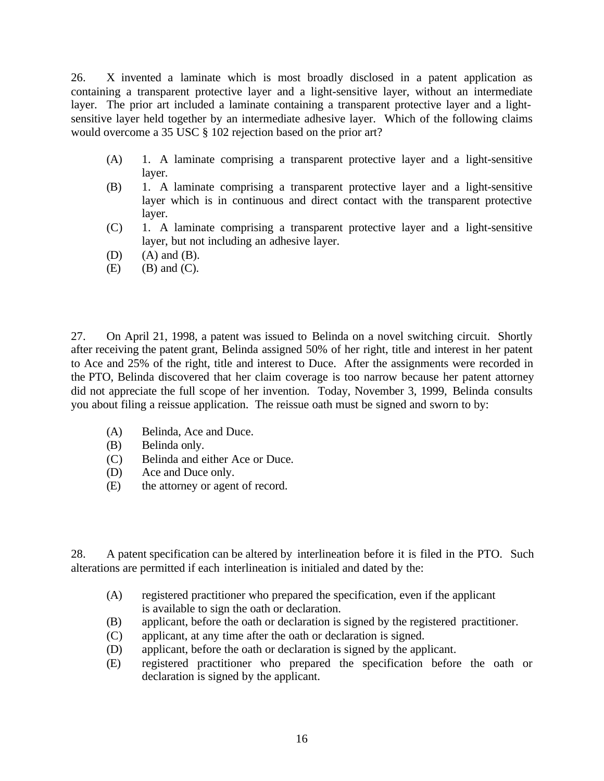26. X invented a laminate which is most broadly disclosed in a patent application as containing a transparent protective layer and a light-sensitive layer, without an intermediate layer. The prior art included a laminate containing a transparent protective layer and a lightsensitive layer held together by an intermediate adhesive layer. Which of the following claims would overcome a 35 USC § 102 rejection based on the prior art?

- (A) 1. A laminate comprising a transparent protective layer and a light-sensitive layer.
- (B) 1. A laminate comprising a transparent protective layer and a light-sensitive layer which is in continuous and direct contact with the transparent protective layer.
- (C) 1. A laminate comprising a transparent protective layer and a light-sensitive layer, but not including an adhesive layer.
- $(D)$   $(A)$  and  $(B)$ .
- $(E)$  (B) and  $(C)$ .

27. On April 21, 1998, a patent was issued to Belinda on a novel switching circuit. Shortly after receiving the patent grant, Belinda assigned 50% of her right, title and interest in her patent to Ace and 25% of the right, title and interest to Duce. After the assignments were recorded in the PTO, Belinda discovered that her claim coverage is too narrow because her patent attorney did not appreciate the full scope of her invention. Today, November 3, 1999, Belinda consults you about filing a reissue application. The reissue oath must be signed and sworn to by:

- (A) Belinda, Ace and Duce.
- (B) Belinda only.
- (C) Belinda and either Ace or Duce.
- (D) Ace and Duce only.
- (E) the attorney or agent of record.

28. A patent specification can be altered by interlineation before it is filed in the PTO. Such alterations are permitted if each interlineation is initialed and dated by the:

- (A) registered practitioner who prepared the specification, even if the applicant is available to sign the oath or declaration.
- (B) applicant, before the oath or declaration is signed by the registered practitioner.
- (C) applicant, at any time after the oath or declaration is signed.
- (D) applicant, before the oath or declaration is signed by the applicant.
- (E) registered practitioner who prepared the specification before the oath or declaration is signed by the applicant.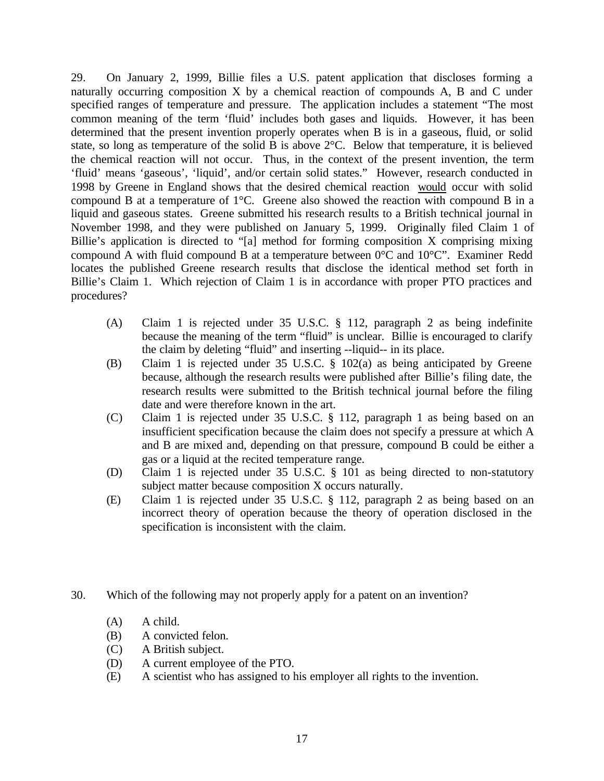29. On January 2, 1999, Billie files a U.S. patent application that discloses forming a naturally occurring composition X by a chemical reaction of compounds A, B and C under specified ranges of temperature and pressure. The application includes a statement "The most common meaning of the term 'fluid' includes both gases and liquids. However, it has been determined that the present invention properly operates when B is in a gaseous, fluid, or solid state, so long as temperature of the solid B is above 2°C. Below that temperature, it is believed the chemical reaction will not occur. Thus, in the context of the present invention, the term 'fluid' means 'gaseous', 'liquid', and/or certain solid states." However, research conducted in 1998 by Greene in England shows that the desired chemical reaction would occur with solid compound B at a temperature of 1°C. Greene also showed the reaction with compound B in a liquid and gaseous states. Greene submitted his research results to a British technical journal in November 1998, and they were published on January 5, 1999. Originally filed Claim 1 of Billie's application is directed to "[a] method for forming composition X comprising mixing compound A with fluid compound B at a temperature between 0°C and 10°C". Examiner Redd locates the published Greene research results that disclose the identical method set forth in Billie's Claim 1. Which rejection of Claim 1 is in accordance with proper PTO practices and procedures?

- (A) Claim 1 is rejected under 35 U.S.C. § 112, paragraph 2 as being indefinite because the meaning of the term "fluid" is unclear. Billie is encouraged to clarify the claim by deleting "fluid" and inserting --liquid-- in its place.
- (B) Claim 1 is rejected under 35 U.S.C. § 102(a) as being anticipated by Greene because, although the research results were published after Billie's filing date, the research results were submitted to the British technical journal before the filing date and were therefore known in the art.
- (C) Claim 1 is rejected under 35 U.S.C. § 112, paragraph 1 as being based on an insufficient specification because the claim does not specify a pressure at which A and B are mixed and, depending on that pressure, compound B could be either a gas or a liquid at the recited temperature range.
- (D) Claim 1 is rejected under 35 U.S.C. § 101 as being directed to non-statutory subject matter because composition X occurs naturally.
- (E) Claim 1 is rejected under 35 U.S.C. § 112, paragraph 2 as being based on an incorrect theory of operation because the theory of operation disclosed in the specification is inconsistent with the claim.
- 30. Which of the following may not properly apply for a patent on an invention?
	- (A) A child.
	- (B) A convicted felon.
	- (C) A British subject.
	- (D) A current employee of the PTO.
	- (E) A scientist who has assigned to his employer all rights to the invention.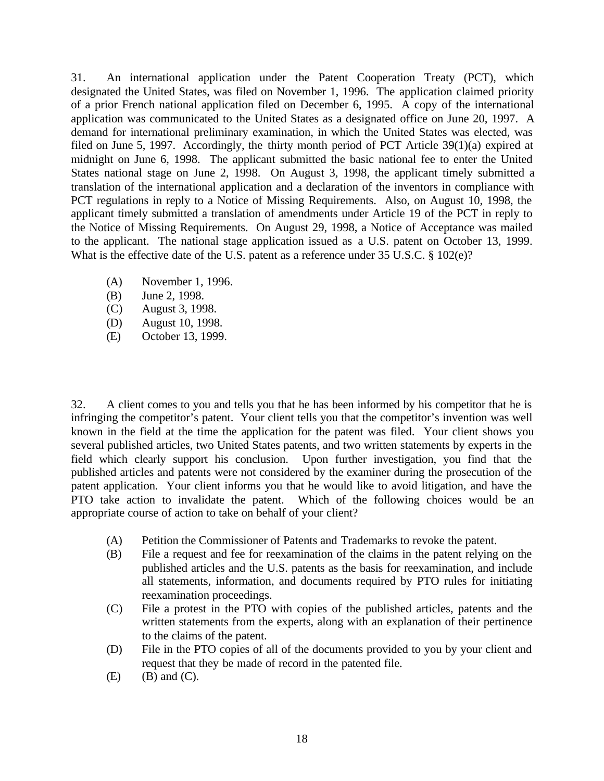31. An international application under the Patent Cooperation Treaty (PCT), which designated the United States, was filed on November 1, 1996. The application claimed priority of a prior French national application filed on December 6, 1995. A copy of the international application was communicated to the United States as a designated office on June 20, 1997. A demand for international preliminary examination, in which the United States was elected, was filed on June 5, 1997. Accordingly, the thirty month period of PCT Article 39(1)(a) expired at midnight on June 6, 1998. The applicant submitted the basic national fee to enter the United States national stage on June 2, 1998. On August 3, 1998, the applicant timely submitted a translation of the international application and a declaration of the inventors in compliance with PCT regulations in reply to a Notice of Missing Requirements. Also, on August 10, 1998, the applicant timely submitted a translation of amendments under Article 19 of the PCT in reply to the Notice of Missing Requirements. On August 29, 1998, a Notice of Acceptance was mailed to the applicant. The national stage application issued as a U.S. patent on October 13, 1999. What is the effective date of the U.S. patent as a reference under 35 U.S.C. § 102(e)?

- (A) November 1, 1996.
- (B) June 2, 1998.
- (C) August 3, 1998.
- (D) August 10, 1998.
- (E) October 13, 1999.

32. A client comes to you and tells you that he has been informed by his competitor that he is infringing the competitor's patent. Your client tells you that the competitor's invention was well known in the field at the time the application for the patent was filed. Your client shows you several published articles, two United States patents, and two written statements by experts in the field which clearly support his conclusion. Upon further investigation, you find that the published articles and patents were not considered by the examiner during the prosecution of the patent application. Your client informs you that he would like to avoid litigation, and have the PTO take action to invalidate the patent. Which of the following choices would be an appropriate course of action to take on behalf of your client?

- (A) Petition the Commissioner of Patents and Trademarks to revoke the patent.
- (B) File a request and fee for reexamination of the claims in the patent relying on the published articles and the U.S. patents as the basis for reexamination, and include all statements, information, and documents required by PTO rules for initiating reexamination proceedings.
- (C) File a protest in the PTO with copies of the published articles, patents and the written statements from the experts, along with an explanation of their pertinence to the claims of the patent.
- (D) File in the PTO copies of all of the documents provided to you by your client and request that they be made of record in the patented file.
- $(E)$  (B) and  $(C)$ .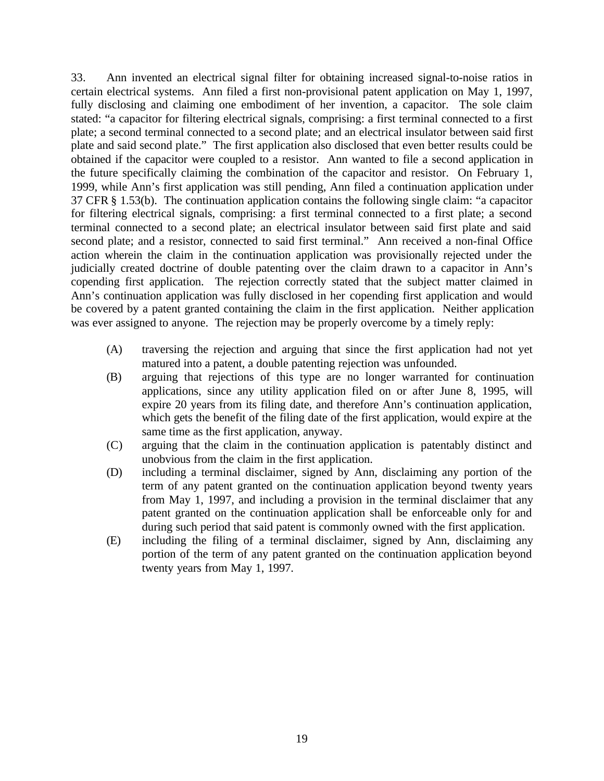33. Ann invented an electrical signal filter for obtaining increased signal-to-noise ratios in certain electrical systems. Ann filed a first non-provisional patent application on May 1, 1997, fully disclosing and claiming one embodiment of her invention, a capacitor. The sole claim stated: "a capacitor for filtering electrical signals, comprising: a first terminal connected to a first plate; a second terminal connected to a second plate; and an electrical insulator between said first plate and said second plate." The first application also disclosed that even better results could be obtained if the capacitor were coupled to a resistor. Ann wanted to file a second application in the future specifically claiming the combination of the capacitor and resistor. On February 1, 1999, while Ann's first application was still pending, Ann filed a continuation application under 37 CFR § 1.53(b). The continuation application contains the following single claim: "a capacitor for filtering electrical signals, comprising: a first terminal connected to a first plate; a second terminal connected to a second plate; an electrical insulator between said first plate and said second plate; and a resistor, connected to said first terminal." Ann received a non-final Office action wherein the claim in the continuation application was provisionally rejected under the judicially created doctrine of double patenting over the claim drawn to a capacitor in Ann's copending first application. The rejection correctly stated that the subject matter claimed in Ann's continuation application was fully disclosed in her copending first application and would be covered by a patent granted containing the claim in the first application. Neither application was ever assigned to anyone. The rejection may be properly overcome by a timely reply:

- (A) traversing the rejection and arguing that since the first application had not yet matured into a patent, a double patenting rejection was unfounded.
- (B) arguing that rejections of this type are no longer warranted for continuation applications, since any utility application filed on or after June 8, 1995, will expire 20 years from its filing date, and therefore Ann's continuation application, which gets the benefit of the filing date of the first application, would expire at the same time as the first application, anyway.
- (C) arguing that the claim in the continuation application is patentably distinct and unobvious from the claim in the first application.
- (D) including a terminal disclaimer, signed by Ann, disclaiming any portion of the term of any patent granted on the continuation application beyond twenty years from May 1, 1997, and including a provision in the terminal disclaimer that any patent granted on the continuation application shall be enforceable only for and during such period that said patent is commonly owned with the first application.
- (E) including the filing of a terminal disclaimer, signed by Ann, disclaiming any portion of the term of any patent granted on the continuation application beyond twenty years from May 1, 1997.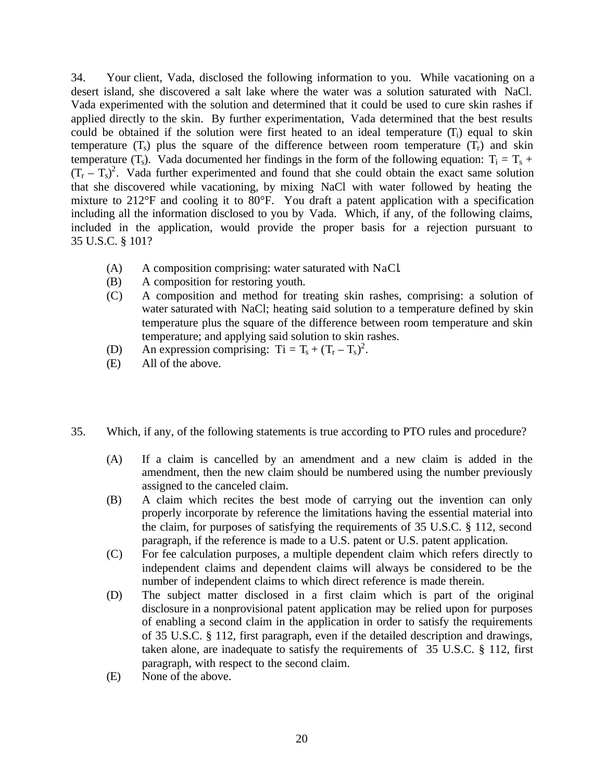34. Your client, Vada, disclosed the following information to you. While vacationing on a desert island, she discovered a salt lake where the water was a solution saturated with NaCl. Vada experimented with the solution and determined that it could be used to cure skin rashes if applied directly to the skin. By further experimentation, Vada determined that the best results could be obtained if the solution were first heated to an ideal temperature  $(T_i)$  equal to skin temperature  $(T<sub>s</sub>)$  plus the square of the difference between room temperature  $(T<sub>r</sub>)$  and skin temperature (T<sub>s</sub>). Vada documented her findings in the form of the following equation:  $T_i = T_s +$  $(T_r - T_s)^2$ . Vada further experimented and found that she could obtain the exact same solution that she discovered while vacationing, by mixing NaCl with water followed by heating the mixture to 212°F and cooling it to 80°F. You draft a patent application with a specification including all the information disclosed to you by Vada. Which, if any, of the following claims, included in the application, would provide the proper basis for a rejection pursuant to 35 U.S.C. § 101?

- (A) A composition comprising: water saturated with NaCl.
- (B) A composition for restoring youth.
- (C) A composition and method for treating skin rashes, comprising: a solution of water saturated with NaCl; heating said solution to a temperature defined by skin temperature plus the square of the difference between room temperature and skin temperature; and applying said solution to skin rashes.
- (D) An expression comprising:  $Ti = T_s + (T_r T_s)^2$ .
- (E) All of the above.
- 35. Which, if any, of the following statements is true according to PTO rules and procedure?
	- (A) If a claim is cancelled by an amendment and a new claim is added in the amendment, then the new claim should be numbered using the number previously assigned to the canceled claim.
	- (B) A claim which recites the best mode of carrying out the invention can only properly incorporate by reference the limitations having the essential material into the claim, for purposes of satisfying the requirements of 35 U.S.C. § 112, second paragraph, if the reference is made to a U.S. patent or U.S. patent application.
	- (C) For fee calculation purposes, a multiple dependent claim which refers directly to independent claims and dependent claims will always be considered to be the number of independent claims to which direct reference is made therein.
	- (D) The subject matter disclosed in a first claim which is part of the original disclosure in a nonprovisional patent application may be relied upon for purposes of enabling a second claim in the application in order to satisfy the requirements of 35 U.S.C. § 112, first paragraph, even if the detailed description and drawings, taken alone, are inadequate to satisfy the requirements of 35 U.S.C. § 112, first paragraph, with respect to the second claim.
	- (E) None of the above.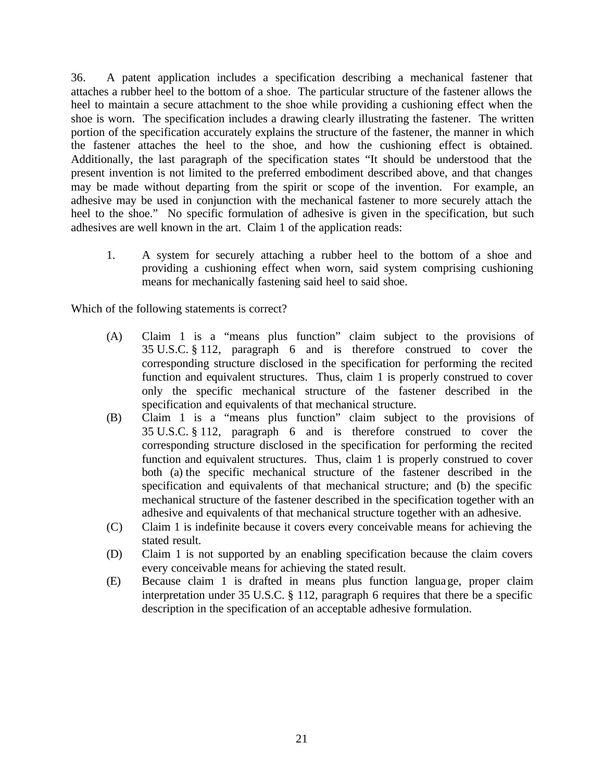36. A patent application includes a specification describing a mechanical fastener that attaches a rubber heel to the bottom of a shoe. The particular structure of the fastener allows the heel to maintain a secure attachment to the shoe while providing a cushioning effect when the shoe is worn. The specification includes a drawing clearly illustrating the fastener. The written portion of the specification accurately explains the structure of the fastener, the manner in which the fastener attaches the heel to the shoe, and how the cushioning effect is obtained. Additionally, the last paragraph of the specification states "It should be understood that the present invention is not limited to the preferred embodiment described above, and that changes may be made without departing from the spirit or scope of the invention. For example, an adhesive may be used in conjunction with the mechanical fastener to more securely attach the heel to the shoe." No specific formulation of adhesive is given in the specification, but such adhesives are well known in the art. Claim 1 of the application reads:

1. A system for securely attaching a rubber heel to the bottom of a shoe and providing a cushioning effect when worn, said system comprising cushioning means for mechanically fastening said heel to said shoe.

Which of the following statements is correct?

- (A) Claim 1 is a "means plus function" claim subject to the provisions of 35 U.S.C. § 112, paragraph 6 and is therefore construed to cover the corresponding structure disclosed in the specification for performing the recited function and equivalent structures. Thus, claim 1 is properly construed to cover only the specific mechanical structure of the fastener described in the specification and equivalents of that mechanical structure.
- (B) Claim 1 is a "means plus function" claim subject to the provisions of 35 U.S.C. § 112, paragraph 6 and is therefore construed to cover the corresponding structure disclosed in the specification for performing the recited function and equivalent structures. Thus, claim 1 is properly construed to cover both (a) the specific mechanical structure of the fastener described in the specification and equivalents of that mechanical structure; and (b) the specific mechanical structure of the fastener described in the specification together with an adhesive and equivalents of that mechanical structure together with an adhesive.
- (C) Claim 1 is indefinite because it covers every conceivable means for achieving the stated result.
- (D) Claim 1 is not supported by an enabling specification because the claim covers every conceivable means for achieving the stated result.
- (E) Because claim 1 is drafted in means plus function language, proper claim interpretation under 35 U.S.C. § 112, paragraph 6 requires that there be a specific description in the specification of an acceptable adhesive formulation.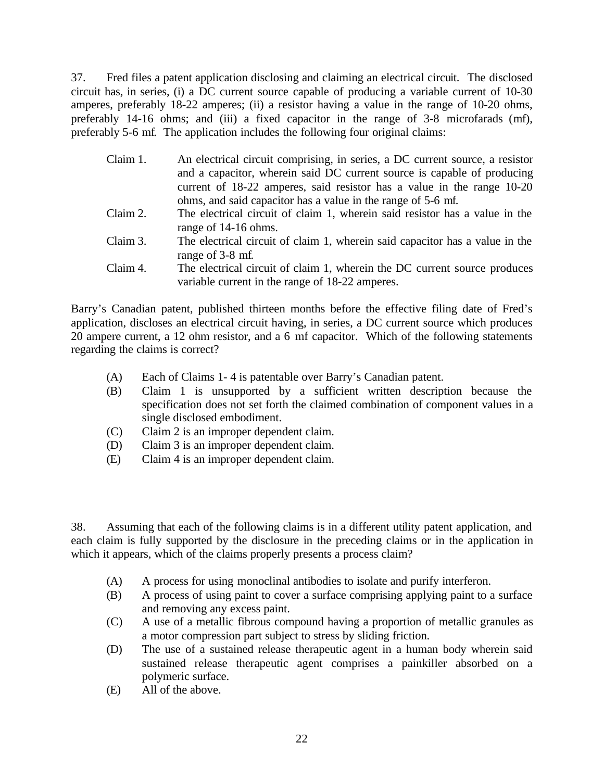37. Fred files a patent application disclosing and claiming an electrical circuit. The disclosed circuit has, in series, (i) a DC current source capable of producing a variable current of 10-30 amperes, preferably 18-22 amperes; (ii) a resistor having a value in the range of 10-20 ohms, preferably 14-16 ohms; and (iii) a fixed capacitor in the range of 3-8 microfarads (mf), preferably 5-6 mf. The application includes the following four original claims:

| Claim 1. | An electrical circuit comprising, in series, a DC current source, a resistor |
|----------|------------------------------------------------------------------------------|
|          | and a capacitor, wherein said DC current source is capable of producing      |
|          | current of 18-22 amperes, said resistor has a value in the range 10-20       |
|          | ohms, and said capacitor has a value in the range of 5-6 mf.                 |
| Claim 2. | The electrical circuit of claim 1, wherein said resistor has a value in the  |
|          | range of 14-16 ohms.                                                         |
| Claim 3. | The electrical circuit of claim 1, wherein said capacitor has a value in the |
|          | range of 3-8 mf.                                                             |
| Claim 4. | The electrical circuit of claim 1, wherein the DC current source produces    |
|          | variable current in the range of 18-22 amperes.                              |

Barry's Canadian patent, published thirteen months before the effective filing date of Fred's application, discloses an electrical circuit having, in series, a DC current source which produces 20 ampere current, a 12 ohm resistor, and a 6 mf capacitor. Which of the following statements regarding the claims is correct?

- (A) Each of Claims 1- 4 is patentable over Barry's Canadian patent.
- (B) Claim 1 is unsupported by a sufficient written description because the specification does not set forth the claimed combination of component values in a single disclosed embodiment.
- (C) Claim 2 is an improper dependent claim.
- (D) Claim 3 is an improper dependent claim.
- (E) Claim 4 is an improper dependent claim.

38. Assuming that each of the following claims is in a different utility patent application, and each claim is fully supported by the disclosure in the preceding claims or in the application in which it appears, which of the claims properly presents a process claim?

- (A) A process for using monoclinal antibodies to isolate and purify interferon.
- (B) A process of using paint to cover a surface comprising applying paint to a surface and removing any excess paint.
- (C) A use of a metallic fibrous compound having a proportion of metallic granules as a motor compression part subject to stress by sliding friction.
- (D) The use of a sustained release therapeutic agent in a human body wherein said sustained release therapeutic agent comprises a painkiller absorbed on a polymeric surface.
- (E) All of the above.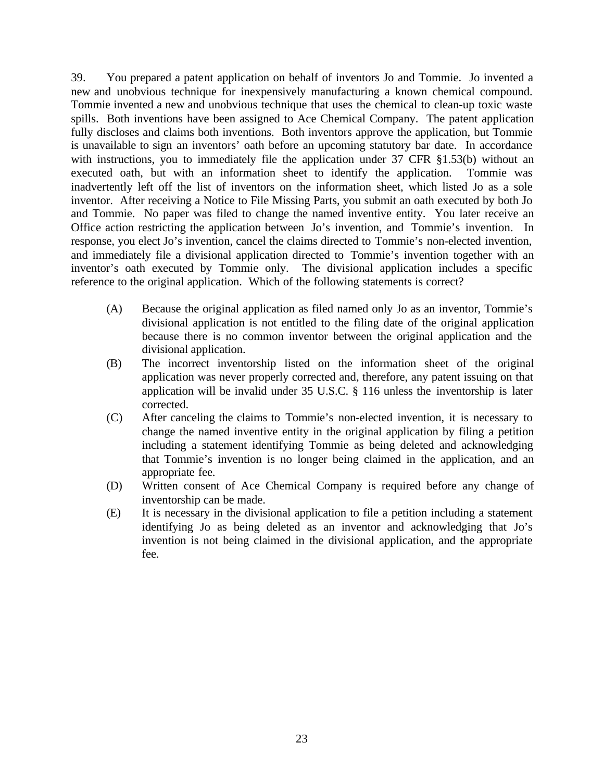39. You prepared a patent application on behalf of inventors Jo and Tommie. Jo invented a new and unobvious technique for inexpensively manufacturing a known chemical compound. Tommie invented a new and unobvious technique that uses the chemical to clean-up toxic waste spills. Both inventions have been assigned to Ace Chemical Company. The patent application fully discloses and claims both inventions. Both inventors approve the application, but Tommie is unavailable to sign an inventors' oath before an upcoming statutory bar date. In accordance with instructions, you to immediately file the application under 37 CFR §1.53(b) without an executed oath, but with an information sheet to identify the application. Tommie was executed oath, but with an information sheet to identify the application. inadvertently left off the list of inventors on the information sheet, which listed Jo as a sole inventor. After receiving a Notice to File Missing Parts, you submit an oath executed by both Jo and Tommie. No paper was filed to change the named inventive entity. You later receive an Office action restricting the application between Jo's invention, and Tommie's invention. In response, you elect Jo's invention, cancel the claims directed to Tommie's non-elected invention, and immediately file a divisional application directed to Tommie's invention together with an inventor's oath executed by Tommie only. The divisional application includes a specific reference to the original application. Which of the following statements is correct?

- (A) Because the original application as filed named only Jo as an inventor, Tommie's divisional application is not entitled to the filing date of the original application because there is no common inventor between the original application and the divisional application.
- (B) The incorrect inventorship listed on the information sheet of the original application was never properly corrected and, therefore, any patent issuing on that application will be invalid under 35 U.S.C. § 116 unless the inventorship is later corrected.
- (C) After canceling the claims to Tommie's non-elected invention, it is necessary to change the named inventive entity in the original application by filing a petition including a statement identifying Tommie as being deleted and acknowledging that Tommie's invention is no longer being claimed in the application, and an appropriate fee.
- (D) Written consent of Ace Chemical Company is required before any change of inventorship can be made.
- (E) It is necessary in the divisional application to file a petition including a statement identifying Jo as being deleted as an inventor and acknowledging that Jo's invention is not being claimed in the divisional application, and the appropriate fee.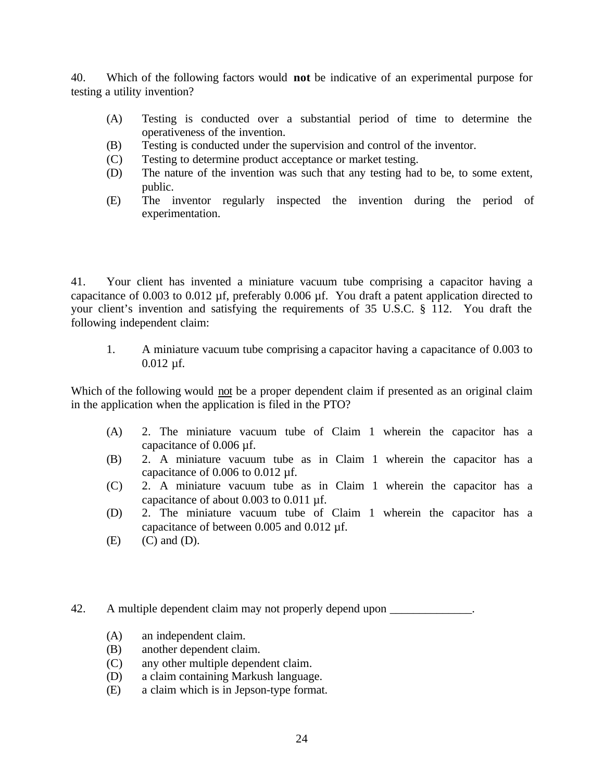40. Which of the following factors would **not** be indicative of an experimental purpose for testing a utility invention?

- (A) Testing is conducted over a substantial period of time to determine the operativeness of the invention.
- (B) Testing is conducted under the supervision and control of the inventor.
- (C) Testing to determine product acceptance or market testing.
- (D) The nature of the invention was such that any testing had to be, to some extent, public.
- (E) The inventor regularly inspected the invention during the period of experimentation.

41. Your client has invented a miniature vacuum tube comprising a capacitor having a capacitance of 0.003 to 0.012 µf, preferably 0.006 µf. You draft a patent application directed to your client's invention and satisfying the requirements of 35 U.S.C. § 112. You draft the following independent claim:

1. A miniature vacuum tube comprising a capacitor having a capacitance of 0.003 to 0.012 µf.

Which of the following would not be a proper dependent claim if presented as an original claim in the application when the application is filed in the PTO?

- (A) 2. The miniature vacuum tube of Claim 1 wherein the capacitor has a capacitance of 0.006 µf.
- (B) 2. A miniature vacuum tube as in Claim 1 wherein the capacitor has a capacitance of 0.006 to 0.012 µf.
- (C) 2. A miniature vacuum tube as in Claim 1 wherein the capacitor has a capacitance of about 0.003 to 0.011 µf.
- (D) 2. The miniature vacuum tube of Claim 1 wherein the capacitor has a capacitance of between 0.005 and 0.012 µf.
- $(E)$   $(C)$  and  $(D)$ .

42. A multiple dependent claim may not properly depend upon

- (A) an independent claim.
- (B) another dependent claim.
- (C) any other multiple dependent claim.
- (D) a claim containing Markush language.
- (E) a claim which is in Jepson-type format.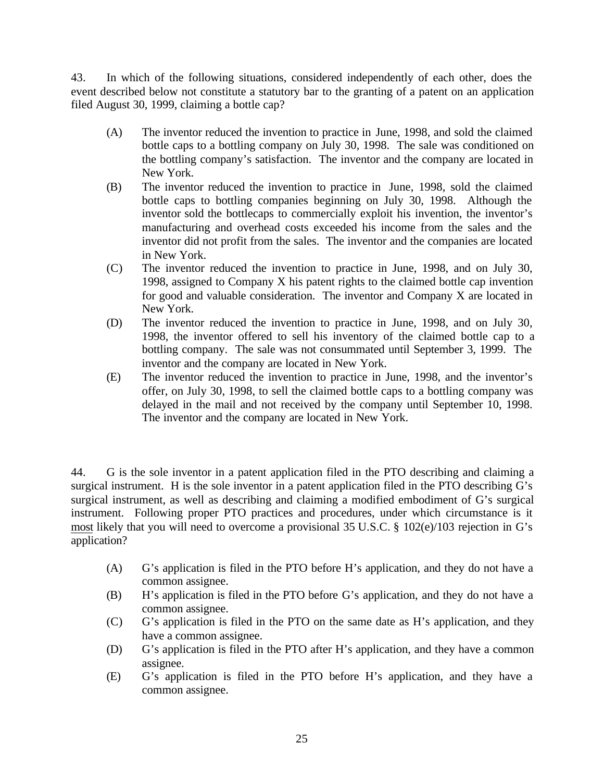43. In which of the following situations, considered independently of each other, does the event described below not constitute a statutory bar to the granting of a patent on an application filed August 30, 1999, claiming a bottle cap?

- (A) The inventor reduced the invention to practice in June, 1998, and sold the claimed bottle caps to a bottling company on July 30, 1998. The sale was conditioned on the bottling company's satisfaction. The inventor and the company are located in New York.
- (B) The inventor reduced the invention to practice in June, 1998, sold the claimed bottle caps to bottling companies beginning on July 30, 1998. Although the inventor sold the bottlecaps to commercially exploit his invention, the inventor's manufacturing and overhead costs exceeded his income from the sales and the inventor did not profit from the sales. The inventor and the companies are located in New York.
- (C) The inventor reduced the invention to practice in June, 1998, and on July 30, 1998, assigned to Company X his patent rights to the claimed bottle cap invention for good and valuable consideration. The inventor and Company X are located in New York.
- (D) The inventor reduced the invention to practice in June, 1998, and on July 30, 1998, the inventor offered to sell his inventory of the claimed bottle cap to a bottling company. The sale was not consummated until September 3, 1999. The inventor and the company are located in New York.
- (E) The inventor reduced the invention to practice in June, 1998, and the inventor's offer, on July 30, 1998, to sell the claimed bottle caps to a bottling company was delayed in the mail and not received by the company until September 10, 1998. The inventor and the company are located in New York.

44. G is the sole inventor in a patent application filed in the PTO describing and claiming a surgical instrument. H is the sole inventor in a patent application filed in the PTO describing G's surgical instrument, as well as describing and claiming a modified embodiment of G's surgical instrument. Following proper PTO practices and procedures, under which circumstance is it most likely that you will need to overcome a provisional 35 U.S.C. § 102(e)/103 rejection in G's application?

- (A) G's application is filed in the PTO before H's application, and they do not have a common assignee.
- (B) H's application is filed in the PTO before G's application, and they do not have a common assignee.
- (C) G's application is filed in the PTO on the same date as H's application, and they have a common assignee.
- (D) G's application is filed in the PTO after H's application, and they have a common assignee.
- (E) G's application is filed in the PTO before H's application, and they have a common assignee.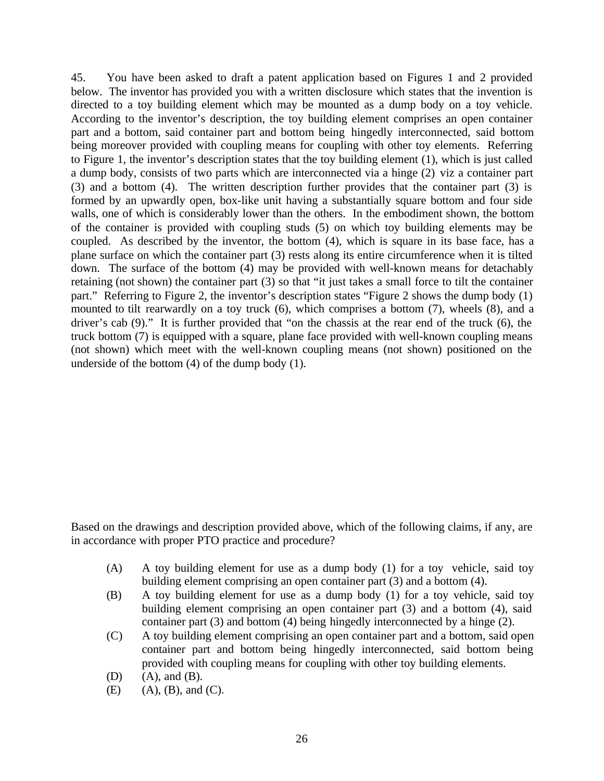45. You have been asked to draft a patent application based on Figures 1 and 2 provided below. The inventor has provided you with a written disclosure which states that the invention is directed to a toy building element which may be mounted as a dump body on a toy vehicle. According to the inventor's description, the toy building element comprises an open container part and a bottom, said container part and bottom being hingedly interconnected, said bottom being moreover provided with coupling means for coupling with other toy elements. Referring to Figure 1, the inventor's description states that the toy building element (1), which is just called a dump body, consists of two parts which are interconnected via a hinge (2) viz a container part (3) and a bottom (4). The written description further provides that the container part (3) is formed by an upwardly open, box-like unit having a substantially square bottom and four side walls, one of which is considerably lower than the others. In the embodiment shown, the bottom of the container is provided with coupling studs (5) on which toy building elements may be coupled. As described by the inventor, the bottom (4), which is square in its base face, has a plane surface on which the container part (3) rests along its entire circumference when it is tilted down. The surface of the bottom (4) may be provided with well-known means for detachably retaining (not shown) the container part (3) so that "it just takes a small force to tilt the container part." Referring to Figure 2, the inventor's description states "Figure 2 shows the dump body (1) mounted to tilt rearwardly on a toy truck (6), which comprises a bottom (7), wheels (8), and a driver's cab (9)." It is further provided that "on the chassis at the rear end of the truck (6), the truck bottom (7) is equipped with a square, plane face provided with well-known coupling means (not shown) which meet with the well-known coupling means (not shown) positioned on the underside of the bottom (4) of the dump body (1).

Based on the drawings and description provided above, which of the following claims, if any, are in accordance with proper PTO practice and procedure?

- (A) A toy building element for use as a dump body (1) for a toy vehicle, said toy building element comprising an open container part (3) and a bottom (4).
- (B) A toy building element for use as a dump body (1) for a toy vehicle, said toy building element comprising an open container part (3) and a bottom (4), said container part (3) and bottom (4) being hingedly interconnected by a hinge (2).
- (C) A toy building element comprising an open container part and a bottom, said open container part and bottom being hingedly interconnected, said bottom being provided with coupling means for coupling with other toy building elements.
- (D) (A), and (B).
- $(E)$  (A),  $(B)$ , and  $(C)$ .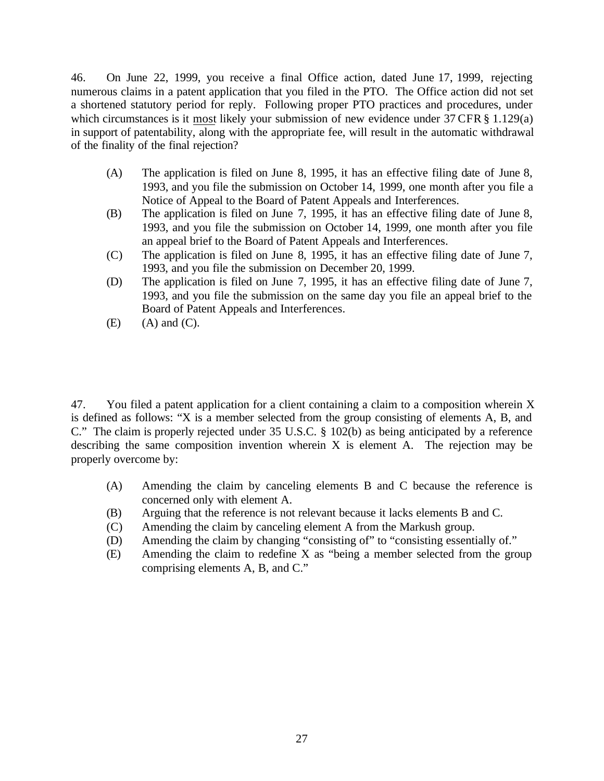46. On June 22, 1999, you receive a final Office action, dated June 17, 1999, rejecting numerous claims in a patent application that you filed in the PTO. The Office action did not set a shortened statutory period for reply. Following proper PTO practices and procedures, under which circumstances is it most likely your submission of new evidence under 37 CFR § 1.129(a) in support of patentability, along with the appropriate fee, will result in the automatic withdrawal of the finality of the final rejection?

- (A) The application is filed on June 8, 1995, it has an effective filing date of June 8, 1993, and you file the submission on October 14, 1999, one month after you file a Notice of Appeal to the Board of Patent Appeals and Interferences.
- (B) The application is filed on June 7, 1995, it has an effective filing date of June 8, 1993, and you file the submission on October 14, 1999, one month after you file an appeal brief to the Board of Patent Appeals and Interferences.
- (C) The application is filed on June 8, 1995, it has an effective filing date of June 7, 1993, and you file the submission on December 20, 1999.
- (D) The application is filed on June 7, 1995, it has an effective filing date of June 7, 1993, and you file the submission on the same day you file an appeal brief to the Board of Patent Appeals and Interferences.
- $(E)$   $(A)$  and  $(C)$ .

47. You filed a patent application for a client containing a claim to a composition wherein X is defined as follows: "X is a member selected from the group consisting of elements A, B, and C." The claim is properly rejected under 35 U.S.C. § 102(b) as being anticipated by a reference describing the same composition invention wherein X is element A. The rejection may be properly overcome by:

- (A) Amending the claim by canceling elements B and C because the reference is concerned only with element A.
- (B) Arguing that the reference is not relevant because it lacks elements B and C.
- (C) Amending the claim by canceling element A from the Markush group.
- (D) Amending the claim by changing "consisting of" to "consisting essentially of."
- (E) Amending the claim to redefine X as "being a member selected from the group comprising elements A, B, and C."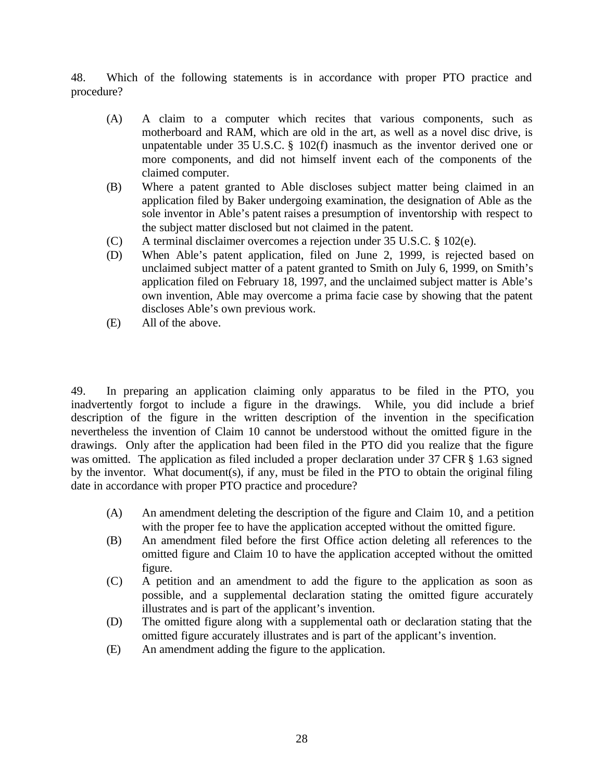48. Which of the following statements is in accordance with proper PTO practice and procedure?

- (A) A claim to a computer which recites that various components, such as motherboard and RAM, which are old in the art, as well as a novel disc drive, is unpatentable under 35 U.S.C. § 102(f) inasmuch as the inventor derived one or more components, and did not himself invent each of the components of the claimed computer.
- (B) Where a patent granted to Able discloses subject matter being claimed in an application filed by Baker undergoing examination, the designation of Able as the sole inventor in Able's patent raises a presumption of inventorship with respect to the subject matter disclosed but not claimed in the patent.
- (C) A terminal disclaimer overcomes a rejection under 35 U.S.C. § 102(e).
- (D) When Able's patent application, filed on June 2, 1999, is rejected based on unclaimed subject matter of a patent granted to Smith on July 6, 1999, on Smith's application filed on February 18, 1997, and the unclaimed subject matter is Able's own invention, Able may overcome a prima facie case by showing that the patent discloses Able's own previous work.
- (E) All of the above.

49. In preparing an application claiming only apparatus to be filed in the PTO, you inadvertently forgot to include a figure in the drawings. While, you did include a brief description of the figure in the written description of the invention in the specification nevertheless the invention of Claim 10 cannot be understood without the omitted figure in the drawings. Only after the application had been filed in the PTO did you realize that the figure was omitted. The application as filed included a proper declaration under 37 CFR § 1.63 signed by the inventor. What document(s), if any, must be filed in the PTO to obtain the original filing date in accordance with proper PTO practice and procedure?

- (A) An amendment deleting the description of the figure and Claim 10, and a petition with the proper fee to have the application accepted without the omitted figure.
- (B) An amendment filed before the first Office action deleting all references to the omitted figure and Claim 10 to have the application accepted without the omitted figure.
- (C) A petition and an amendment to add the figure to the application as soon as possible, and a supplemental declaration stating the omitted figure accurately illustrates and is part of the applicant's invention.
- (D) The omitted figure along with a supplemental oath or declaration stating that the omitted figure accurately illustrates and is part of the applicant's invention.
- (E) An amendment adding the figure to the application.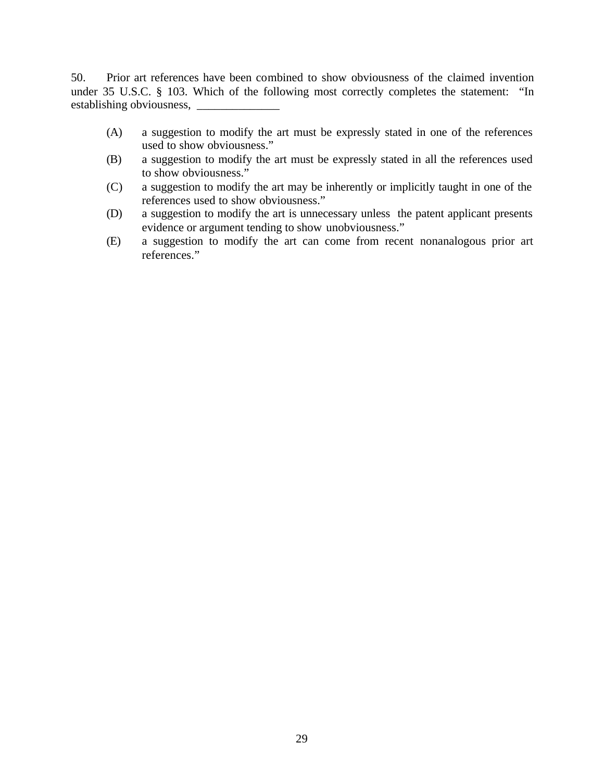50. Prior art references have been combined to show obviousness of the claimed invention under 35 U.S.C. § 103. Which of the following most correctly completes the statement: "In establishing obviousness, \_\_\_\_\_\_\_\_\_\_\_\_\_\_

- (A) a suggestion to modify the art must be expressly stated in one of the references used to show obviousness."
- (B) a suggestion to modify the art must be expressly stated in all the references used to show obviousness."
- (C) a suggestion to modify the art may be inherently or implicitly taught in one of the references used to show obviousness."
- (D) a suggestion to modify the art is unnecessary unless the patent applicant presents evidence or argument tending to show unobviousness."
- (E) a suggestion to modify the art can come from recent nonanalogous prior art references."